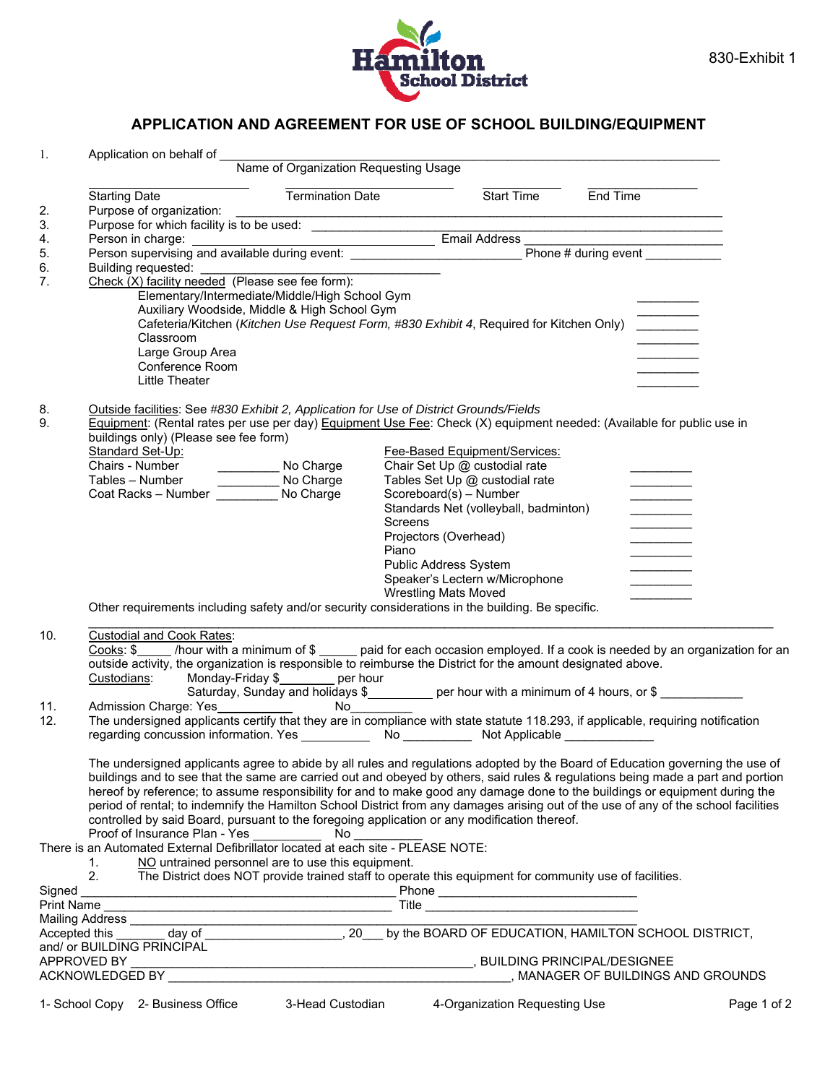

## **APPLICATION AND AGREEMENT FOR USE OF SCHOOL BUILDING/EQUIPMENT**

| 1.       |                                                                                                                                                                                                                                          |                                                                                                                                                                                                                                                                |                                |                                                                                                                                                                                                                                      |                                                                                                                                                                                                                                                                                                                    |             |  |  |
|----------|------------------------------------------------------------------------------------------------------------------------------------------------------------------------------------------------------------------------------------------|----------------------------------------------------------------------------------------------------------------------------------------------------------------------------------------------------------------------------------------------------------------|--------------------------------|--------------------------------------------------------------------------------------------------------------------------------------------------------------------------------------------------------------------------------------|--------------------------------------------------------------------------------------------------------------------------------------------------------------------------------------------------------------------------------------------------------------------------------------------------------------------|-------------|--|--|
|          |                                                                                                                                                                                                                                          | Application on behalf of Name of Organization Requesting Usage                                                                                                                                                                                                 |                                |                                                                                                                                                                                                                                      |                                                                                                                                                                                                                                                                                                                    |             |  |  |
| 2.       | <b>Starting Date</b><br>Purpose of organization:                                                                                                                                                                                         |                                                                                                                                                                                                                                                                | Termination Date               | Start Time End Time                                                                                                                                                                                                                  |                                                                                                                                                                                                                                                                                                                    |             |  |  |
| 3.       |                                                                                                                                                                                                                                          |                                                                                                                                                                                                                                                                |                                |                                                                                                                                                                                                                                      |                                                                                                                                                                                                                                                                                                                    |             |  |  |
| 4.       |                                                                                                                                                                                                                                          |                                                                                                                                                                                                                                                                |                                |                                                                                                                                                                                                                                      |                                                                                                                                                                                                                                                                                                                    |             |  |  |
| 5.       | Purpose of organization:<br>Purpose for which facility is to be used:<br>Person in charge:<br>Person supervising and available during event:<br>Person supervising and available during event:<br>Phone # during event _________________ |                                                                                                                                                                                                                                                                |                                |                                                                                                                                                                                                                                      |                                                                                                                                                                                                                                                                                                                    |             |  |  |
| 6.       |                                                                                                                                                                                                                                          |                                                                                                                                                                                                                                                                |                                |                                                                                                                                                                                                                                      |                                                                                                                                                                                                                                                                                                                    |             |  |  |
| 7.       |                                                                                                                                                                                                                                          |                                                                                                                                                                                                                                                                |                                |                                                                                                                                                                                                                                      |                                                                                                                                                                                                                                                                                                                    |             |  |  |
|          | Elementary/Intermediate/Middle/High School Gym<br>Auxiliary Woodside, Middle & High School Gym                                                                                                                                           |                                                                                                                                                                                                                                                                |                                |                                                                                                                                                                                                                                      |                                                                                                                                                                                                                                                                                                                    |             |  |  |
|          | Cafeteria/Kitchen (Kitchen Use Request Form, #830 Exhibit 4, Required for Kitchen Only) _______                                                                                                                                          |                                                                                                                                                                                                                                                                |                                |                                                                                                                                                                                                                                      |                                                                                                                                                                                                                                                                                                                    |             |  |  |
|          | Classroom                                                                                                                                                                                                                                |                                                                                                                                                                                                                                                                |                                |                                                                                                                                                                                                                                      |                                                                                                                                                                                                                                                                                                                    |             |  |  |
|          | Large Group Area                                                                                                                                                                                                                         |                                                                                                                                                                                                                                                                |                                |                                                                                                                                                                                                                                      |                                                                                                                                                                                                                                                                                                                    |             |  |  |
|          | Conference Room                                                                                                                                                                                                                          |                                                                                                                                                                                                                                                                |                                |                                                                                                                                                                                                                                      |                                                                                                                                                                                                                                                                                                                    |             |  |  |
|          | Little Theater                                                                                                                                                                                                                           |                                                                                                                                                                                                                                                                |                                |                                                                                                                                                                                                                                      |                                                                                                                                                                                                                                                                                                                    |             |  |  |
|          |                                                                                                                                                                                                                                          |                                                                                                                                                                                                                                                                |                                |                                                                                                                                                                                                                                      |                                                                                                                                                                                                                                                                                                                    |             |  |  |
| 8.<br>9. |                                                                                                                                                                                                                                          | Outside facilities: See #830 Exhibit 2, Application for Use of District Grounds/Fields<br>Equipment: (Rental rates per use per day) Equipment Use Fee: Check (X) equipment needed: (Available for public use in                                                |                                |                                                                                                                                                                                                                                      |                                                                                                                                                                                                                                                                                                                    |             |  |  |
|          | buildings only) (Please see fee form)                                                                                                                                                                                                    |                                                                                                                                                                                                                                                                |                                |                                                                                                                                                                                                                                      |                                                                                                                                                                                                                                                                                                                    |             |  |  |
|          | Standard Set-Up:                                                                                                                                                                                                                         |                                                                                                                                                                                                                                                                | Fee-Based Equipment/Services:  |                                                                                                                                                                                                                                      |                                                                                                                                                                                                                                                                                                                    |             |  |  |
|          | Chairs - Number<br>Tables – Number<br>Coat Racks – Number<br>Mo Charge<br>No Charge<br>No Charge                                                                                                                                         |                                                                                                                                                                                                                                                                | Chair Set Up @ custodial rate  |                                                                                                                                                                                                                                      |                                                                                                                                                                                                                                                                                                                    |             |  |  |
|          |                                                                                                                                                                                                                                          |                                                                                                                                                                                                                                                                | Tables Set Up @ custodial rate |                                                                                                                                                                                                                                      | <u> Alexandria de la pro</u>                                                                                                                                                                                                                                                                                       |             |  |  |
|          |                                                                                                                                                                                                                                          |                                                                                                                                                                                                                                                                | Scoreboard(s) - Number         |                                                                                                                                                                                                                                      | $\overline{\phantom{a}}$                                                                                                                                                                                                                                                                                           |             |  |  |
|          |                                                                                                                                                                                                                                          |                                                                                                                                                                                                                                                                | Screens                        | Standards Net (volleyball, badminton)                                                                                                                                                                                                | $\overline{\phantom{a}}$                                                                                                                                                                                                                                                                                           |             |  |  |
|          |                                                                                                                                                                                                                                          |                                                                                                                                                                                                                                                                | Projectors (Overhead)          |                                                                                                                                                                                                                                      |                                                                                                                                                                                                                                                                                                                    |             |  |  |
|          |                                                                                                                                                                                                                                          |                                                                                                                                                                                                                                                                | Piano                          |                                                                                                                                                                                                                                      |                                                                                                                                                                                                                                                                                                                    |             |  |  |
|          |                                                                                                                                                                                                                                          |                                                                                                                                                                                                                                                                | Public Address System          |                                                                                                                                                                                                                                      |                                                                                                                                                                                                                                                                                                                    |             |  |  |
|          |                                                                                                                                                                                                                                          |                                                                                                                                                                                                                                                                |                                | Speaker's Lectern w/Microphone                                                                                                                                                                                                       | $\label{eq:1} \begin{array}{lll} \mathcal{L}_{\text{max}}(\mathcal{L}_{\text{max}},\mathcal{L}_{\text{max}}) & \mathcal{L}_{\text{max}}(\mathcal{L}_{\text{max}}) \\ \mathcal{L}_{\text{max}}(\mathcal{L}_{\text{max}},\mathcal{L}_{\text{max}}) & \mathcal{L}_{\text{max}}(\mathcal{L}_{\text{max}}) \end{array}$ |             |  |  |
|          |                                                                                                                                                                                                                                          |                                                                                                                                                                                                                                                                | <b>Wrestling Mats Moved</b>    |                                                                                                                                                                                                                                      |                                                                                                                                                                                                                                                                                                                    |             |  |  |
|          |                                                                                                                                                                                                                                          | Other requirements including safety and/or security considerations in the building. Be specific.                                                                                                                                                               |                                |                                                                                                                                                                                                                                      |                                                                                                                                                                                                                                                                                                                    |             |  |  |
| 10.      | <b>Custodial and Cook Rates:</b>                                                                                                                                                                                                         |                                                                                                                                                                                                                                                                |                                |                                                                                                                                                                                                                                      |                                                                                                                                                                                                                                                                                                                    |             |  |  |
|          |                                                                                                                                                                                                                                          | Cooks: \$ ____ /hour with a minimum of \$ _____ paid for each occasion employed. If a cook is needed by an organization for an<br>outside activity, the organization is responsible to reimburse the District for the amount designated above.                 |                                |                                                                                                                                                                                                                                      |                                                                                                                                                                                                                                                                                                                    |             |  |  |
|          |                                                                                                                                                                                                                                          |                                                                                                                                                                                                                                                                |                                |                                                                                                                                                                                                                                      |                                                                                                                                                                                                                                                                                                                    |             |  |  |
|          |                                                                                                                                                                                                                                          | Custodians: Monday-Friday \$<br>per hour<br>Saturday, Sunday and holidays \$_________ per hour with a minimum of 4 hours, or \$                                                                                                                                |                                |                                                                                                                                                                                                                                      |                                                                                                                                                                                                                                                                                                                    |             |  |  |
| 11.      |                                                                                                                                                                                                                                          |                                                                                                                                                                                                                                                                |                                |                                                                                                                                                                                                                                      |                                                                                                                                                                                                                                                                                                                    |             |  |  |
| 12.      |                                                                                                                                                                                                                                          |                                                                                                                                                                                                                                                                |                                |                                                                                                                                                                                                                                      |                                                                                                                                                                                                                                                                                                                    |             |  |  |
|          | The undersigned applicants certify that they are in compliance with state statute 118.293, if applicable, requiring notification                                                                                                         |                                                                                                                                                                                                                                                                |                                |                                                                                                                                                                                                                                      |                                                                                                                                                                                                                                                                                                                    |             |  |  |
|          |                                                                                                                                                                                                                                          |                                                                                                                                                                                                                                                                |                                |                                                                                                                                                                                                                                      |                                                                                                                                                                                                                                                                                                                    |             |  |  |
|          |                                                                                                                                                                                                                                          | The undersigned applicants agree to abide by all rules and regulations adopted by the Board of Education governing the use of                                                                                                                                  |                                |                                                                                                                                                                                                                                      |                                                                                                                                                                                                                                                                                                                    |             |  |  |
|          |                                                                                                                                                                                                                                          | buildings and to see that the same are carried out and obeyed by others, said rules & regulations being made a part and portion<br>hereof by reference; to assume responsibility for and to make good any damage done to the buildings or equipment during the |                                |                                                                                                                                                                                                                                      |                                                                                                                                                                                                                                                                                                                    |             |  |  |
|          |                                                                                                                                                                                                                                          |                                                                                                                                                                                                                                                                |                                |                                                                                                                                                                                                                                      |                                                                                                                                                                                                                                                                                                                    |             |  |  |
|          | period of rental; to indemnify the Hamilton School District from any damages arising out of the use of any of the school facilities<br>controlled by said Board, pursuant to the foregoing application or any modification thereof.      |                                                                                                                                                                                                                                                                |                                |                                                                                                                                                                                                                                      |                                                                                                                                                                                                                                                                                                                    |             |  |  |
|          | Proof of Insurance Plan - Yes                                                                                                                                                                                                            | No l                                                                                                                                                                                                                                                           |                                |                                                                                                                                                                                                                                      |                                                                                                                                                                                                                                                                                                                    |             |  |  |
|          | There is an Automated External Defibrillator located at each site - PLEASE NOTE:                                                                                                                                                         |                                                                                                                                                                                                                                                                |                                |                                                                                                                                                                                                                                      |                                                                                                                                                                                                                                                                                                                    |             |  |  |
|          | 1.                                                                                                                                                                                                                                       | NO untrained personnel are to use this equipment.                                                                                                                                                                                                              |                                |                                                                                                                                                                                                                                      |                                                                                                                                                                                                                                                                                                                    |             |  |  |
|          | 2.                                                                                                                                                                                                                                       | The District does NOT provide trained staff to operate this equipment for community use of facilities.                                                                                                                                                         |                                |                                                                                                                                                                                                                                      |                                                                                                                                                                                                                                                                                                                    |             |  |  |
| Signed   |                                                                                                                                                                                                                                          |                                                                                                                                                                                                                                                                |                                | Phone <b>contract and the contract of the contract of the contract of the contract of the contract of the contract of the contract of the contract of the contract of the contract of the contract of the contract of the contra</b> |                                                                                                                                                                                                                                                                                                                    |             |  |  |
|          |                                                                                                                                                                                                                                          |                                                                                                                                                                                                                                                                |                                |                                                                                                                                                                                                                                      |                                                                                                                                                                                                                                                                                                                    |             |  |  |
|          |                                                                                                                                                                                                                                          |                                                                                                                                                                                                                                                                |                                |                                                                                                                                                                                                                                      |                                                                                                                                                                                                                                                                                                                    |             |  |  |
|          | and/ or BUILDING PRINCIPAL                                                                                                                                                                                                               |                                                                                                                                                                                                                                                                |                                |                                                                                                                                                                                                                                      |                                                                                                                                                                                                                                                                                                                    |             |  |  |
|          | APPROVED BY                                                                                                                                                                                                                              |                                                                                                                                                                                                                                                                |                                |                                                                                                                                                                                                                                      |                                                                                                                                                                                                                                                                                                                    |             |  |  |
|          |                                                                                                                                                                                                                                          |                                                                                                                                                                                                                                                                |                                |                                                                                                                                                                                                                                      |                                                                                                                                                                                                                                                                                                                    |             |  |  |
|          | 1- School Copy 2- Business Office                                                                                                                                                                                                        | 3-Head Custodian                                                                                                                                                                                                                                               |                                | 4-Organization Requesting Use                                                                                                                                                                                                        |                                                                                                                                                                                                                                                                                                                    | Page 1 of 2 |  |  |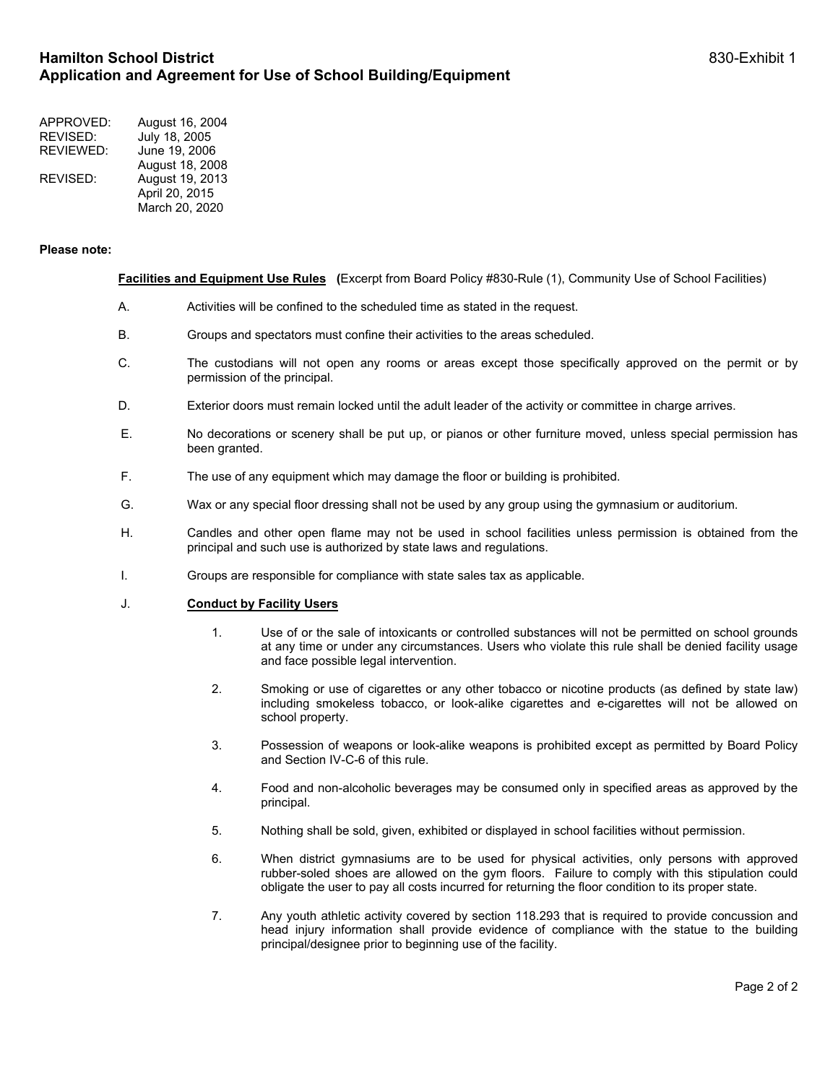| APPROVED: | August 16, 2004 |
|-----------|-----------------|
| REVISED:  | July 18, 2005   |
| REVIEWED: | June 19, 2006   |
|           | August 18, 2008 |
| REVISED:  | August 19, 2013 |
|           | April 20, 2015  |
|           | March 20, 2020  |

#### **Please note:**

### **Facilities and Equipment Use Rules (**Excerpt from Board Policy #830-Rule (1), Community Use of School Facilities)

- A. Activities will be confined to the scheduled time as stated in the request.
- B. Groups and spectators must confine their activities to the areas scheduled.
- C. The custodians will not open any rooms or areas except those specifically approved on the permit or by permission of the principal.
- D. Exterior doors must remain locked until the adult leader of the activity or committee in charge arrives.
- E. No decorations or scenery shall be put up, or pianos or other furniture moved, unless special permission has been granted.
- F. The use of any equipment which may damage the floor or building is prohibited.
- G. Wax or any special floor dressing shall not be used by any group using the gymnasium or auditorium.
- H. Candles and other open flame may not be used in school facilities unless permission is obtained from the principal and such use is authorized by state laws and regulations.
- I. Groups are responsible for compliance with state sales tax as applicable.

### J. **Conduct by Facility Users**

- 1. Use of or the sale of intoxicants or controlled substances will not be permitted on school grounds at any time or under any circumstances. Users who violate this rule shall be denied facility usage and face possible legal intervention.
- 2. Smoking or use of cigarettes or any other tobacco or nicotine products (as defined by state law) including smokeless tobacco, or look-alike cigarettes and e-cigarettes will not be allowed on school property.
- 3. Possession of weapons or look-alike weapons is prohibited except as permitted by Board Policy and Section IV-C-6 of this rule.
- 4. Food and non-alcoholic beverages may be consumed only in specified areas as approved by the principal.
- 5. Nothing shall be sold, given, exhibited or displayed in school facilities without permission.
- 6. When district gymnasiums are to be used for physical activities, only persons with approved rubber-soled shoes are allowed on the gym floors. Failure to comply with this stipulation could obligate the user to pay all costs incurred for returning the floor condition to its proper state.
- 7. Any youth athletic activity covered by section 118.293 that is required to provide concussion and head injury information shall provide evidence of compliance with the statue to the building principal/designee prior to beginning use of the facility.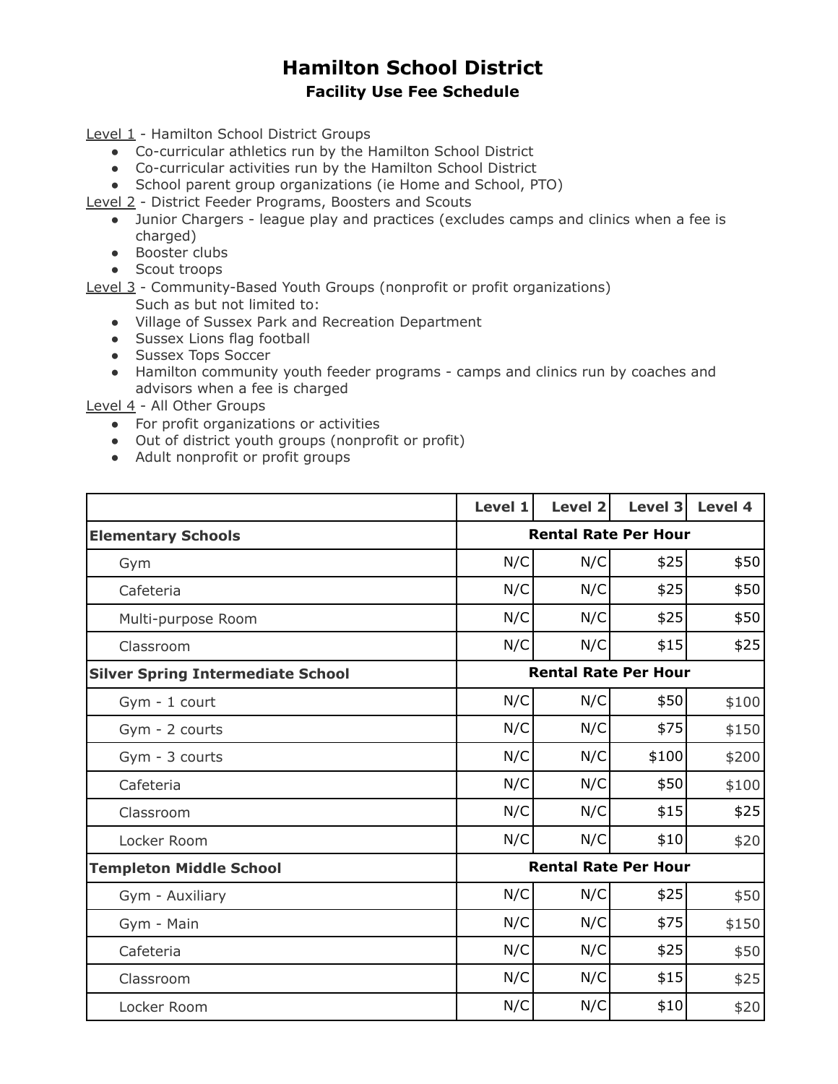# **Hamilton School District Facility Use Fee Schedule**

Level 1 - Hamilton School District Groups

- Co-curricular athletics run by the Hamilton School District
- Co-curricular activities run by the Hamilton School District
- School parent group organizations (ie Home and School, PTO)

Level 2 - District Feeder Programs, Boosters and Scouts

- Junior Chargers league play and practices (excludes camps and clinics when a fee is charged)
- Booster clubs
- Scout troops

Level 3 - Community-Based Youth Groups (nonprofit or profit organizations) Such as but not limited to:

- Village of Sussex Park and Recreation Department
- Sussex Lions flag football
- Sussex Tops Soccer
- Hamilton community youth feeder programs camps and clinics run by coaches and advisors when a fee is charged

Level 4 - All Other Groups

- For profit organizations or activities
- Out of district youth groups (nonprofit or profit)
- Adult nonprofit or profit groups

|                                          | Level 1                     | Level 2 | Level 3 | Level 4 |
|------------------------------------------|-----------------------------|---------|---------|---------|
| <b>Elementary Schools</b>                | <b>Rental Rate Per Hour</b> |         |         |         |
| Gym                                      | N/C                         | N/C     | \$25    | \$50    |
| Cafeteria                                | N/C                         | N/C     | \$25    | \$50    |
| Multi-purpose Room                       | N/C                         | N/C     | \$25    | \$50    |
| Classroom                                | N/C                         | N/C     | \$15    | \$25    |
| <b>Silver Spring Intermediate School</b> | <b>Rental Rate Per Hour</b> |         |         |         |
| Gym - 1 court                            | N/C                         | N/C     | \$50    | \$100   |
| Gym - 2 courts                           | N/C                         | N/C     | \$75    | \$150   |
| Gym - 3 courts                           | N/C                         | N/C     | \$100   | \$200   |
| Cafeteria                                | N/C                         | N/C     | \$50    | \$100   |
| Classroom                                | N/C                         | N/C     | \$15    | \$25    |
| Locker Room                              | N/C                         | N/C     | \$10    | \$20    |
| <b>Templeton Middle School</b>           | <b>Rental Rate Per Hour</b> |         |         |         |
| Gym - Auxiliary                          | N/C                         | N/C     | \$25    | \$50    |
| Gym - Main                               | N/C                         | N/C     | \$75    | \$150   |
| Cafeteria                                | N/C                         | N/C     | \$25    | \$50    |
| Classroom                                | N/C                         | N/C     | \$15    | \$25    |
| Locker Room                              | N/C                         | N/C     | \$10    | \$20    |